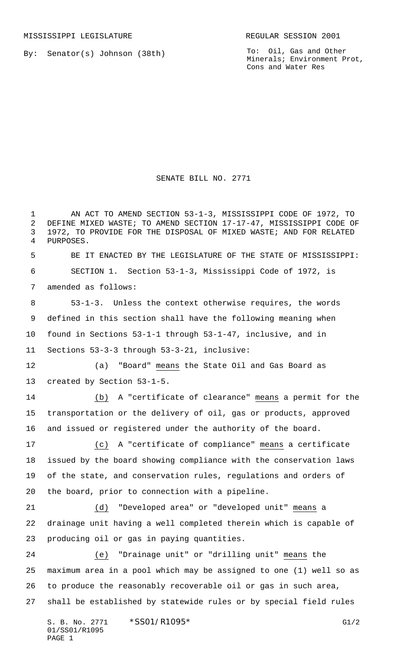By: Senator(s) Johnson (38th)

To: Oil, Gas and Other Minerals; Environment Prot, Cons and Water Res

SENATE BILL NO. 2771

 AN ACT TO AMEND SECTION 53-1-3, MISSISSIPPI CODE OF 1972, TO DEFINE MIXED WASTE; TO AMEND SECTION 17-17-47, MISSISSIPPI CODE OF 1972, TO PROVIDE FOR THE DISPOSAL OF MIXED WASTE; AND FOR RELATED PURPOSES. BE IT ENACTED BY THE LEGISLATURE OF THE STATE OF MISSISSIPPI: SECTION 1. Section 53-1-3, Mississippi Code of 1972, is amended as follows: 53-1-3. Unless the context otherwise requires, the words defined in this section shall have the following meaning when found in Sections 53-1-1 through 53-1-47, inclusive, and in Sections 53-3-3 through 53-3-21, inclusive: (a) "Board" means the State Oil and Gas Board as created by Section 53-1-5. (b) A "certificate of clearance" means a permit for the transportation or the delivery of oil, gas or products, approved and issued or registered under the authority of the board. (c) A "certificate of compliance" means a certificate issued by the board showing compliance with the conservation laws of the state, and conservation rules, regulations and orders of the board, prior to connection with a pipeline. (d) "Developed area" or "developed unit" means a drainage unit having a well completed therein which is capable of producing oil or gas in paying quantities. (e) "Drainage unit" or "drilling unit" means the maximum area in a pool which may be assigned to one (1) well so as to produce the reasonably recoverable oil or gas in such area, shall be established by statewide rules or by special field rules

S. B. No. 2771 \* SS01/R1095\* G1/2 01/SS01/R1095 PAGE 1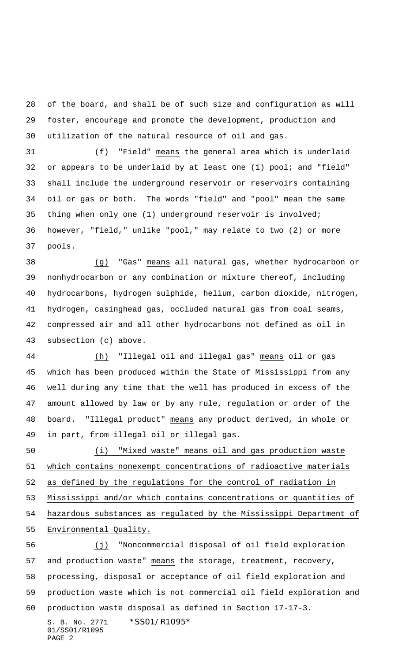of the board, and shall be of such size and configuration as will foster, encourage and promote the development, production and utilization of the natural resource of oil and gas.

 (f) "Field" means the general area which is underlaid or appears to be underlaid by at least one (1) pool; and "field" shall include the underground reservoir or reservoirs containing oil or gas or both. The words "field" and "pool" mean the same thing when only one (1) underground reservoir is involved; however, "field," unlike "pool," may relate to two (2) or more pools.

 (g) "Gas" means all natural gas, whether hydrocarbon or nonhydrocarbon or any combination or mixture thereof, including hydrocarbons, hydrogen sulphide, helium, carbon dioxide, nitrogen, hydrogen, casinghead gas, occluded natural gas from coal seams, compressed air and all other hydrocarbons not defined as oil in subsection (c) above.

 (h) "Illegal oil and illegal gas" means oil or gas which has been produced within the State of Mississippi from any well during any time that the well has produced in excess of the amount allowed by law or by any rule, regulation or order of the board. "Illegal product" means any product derived, in whole or in part, from illegal oil or illegal gas.

 (i) "Mixed waste" means oil and gas production waste which contains nonexempt concentrations of radioactive materials as defined by the regulations for the control of radiation in Mississippi and/or which contains concentrations or quantities of hazardous substances as regulated by the Mississippi Department of Environmental Quality.

S. B. No. 2771 \*SS01/R1095\* (j) "Noncommercial disposal of oil field exploration 57 and production waste" means the storage, treatment, recovery, processing, disposal or acceptance of oil field exploration and production waste which is not commercial oil field exploration and production waste disposal as defined in Section 17-17-3.

01/SS01/R1095 PAGE 2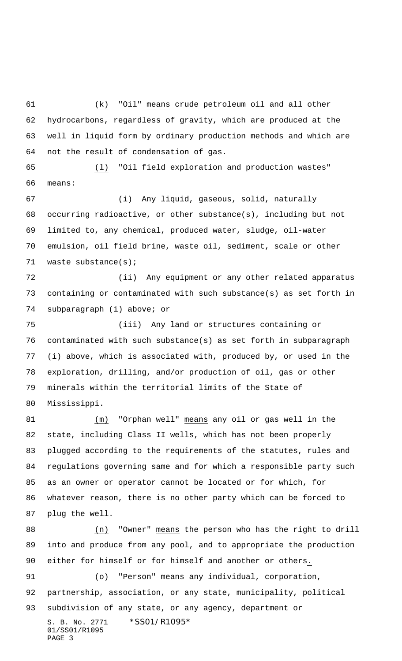(k) "Oil" means crude petroleum oil and all other hydrocarbons, regardless of gravity, which are produced at the well in liquid form by ordinary production methods and which are not the result of condensation of gas.

 (l) "Oil field exploration and production wastes" means:

 (i) Any liquid, gaseous, solid, naturally occurring radioactive, or other substance(s), including but not limited to, any chemical, produced water, sludge, oil-water emulsion, oil field brine, waste oil, sediment, scale or other waste substance(s);

 (ii) Any equipment or any other related apparatus containing or contaminated with such substance(s) as set forth in subparagraph (i) above; or

 (iii) Any land or structures containing or contaminated with such substance(s) as set forth in subparagraph (i) above, which is associated with, produced by, or used in the exploration, drilling, and/or production of oil, gas or other minerals within the territorial limits of the State of Mississippi.

 (m) "Orphan well" means any oil or gas well in the state, including Class II wells, which has not been properly plugged according to the requirements of the statutes, rules and regulations governing same and for which a responsible party such as an owner or operator cannot be located or for which, for whatever reason, there is no other party which can be forced to plug the well.

 (n) "Owner" means the person who has the right to drill into and produce from any pool, and to appropriate the production either for himself or for himself and another or others. (o) "Person" means any individual, corporation,

partnership, association, or any state, municipality, political

S. B. No. 2771 \*SS01/R1095\* 01/SS01/R1095 subdivision of any state, or any agency, department or

```
PAGE 3
```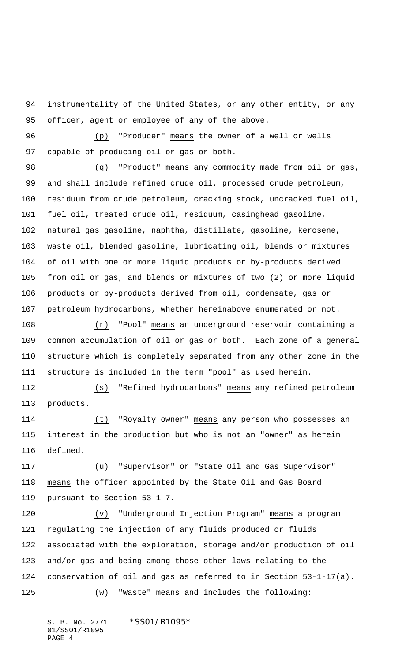instrumentality of the United States, or any other entity, or any officer, agent or employee of any of the above.

 (p) "Producer" means the owner of a well or wells capable of producing oil or gas or both.

 (q) "Product" means any commodity made from oil or gas, and shall include refined crude oil, processed crude petroleum, residuum from crude petroleum, cracking stock, uncracked fuel oil, fuel oil, treated crude oil, residuum, casinghead gasoline, natural gas gasoline, naphtha, distillate, gasoline, kerosene, waste oil, blended gasoline, lubricating oil, blends or mixtures of oil with one or more liquid products or by-products derived from oil or gas, and blends or mixtures of two (2) or more liquid products or by-products derived from oil, condensate, gas or petroleum hydrocarbons, whether hereinabove enumerated or not.

 (r) "Pool" means an underground reservoir containing a common accumulation of oil or gas or both. Each zone of a general structure which is completely separated from any other zone in the structure is included in the term "pool" as used herein.

 (s) "Refined hydrocarbons" means any refined petroleum products.

 (t) "Royalty owner" means any person who possesses an interest in the production but who is not an "owner" as herein defined.

 (u) "Supervisor" or "State Oil and Gas Supervisor" means the officer appointed by the State Oil and Gas Board pursuant to Section 53-1-7.

 (v) "Underground Injection Program" means a program regulating the injection of any fluids produced or fluids associated with the exploration, storage and/or production of oil and/or gas and being among those other laws relating to the conservation of oil and gas as referred to in Section 53-1-17(a). (w) "Waste" means and includes the following:

S. B. No. 2771 \*SS01/R1095\* 01/SS01/R1095 PAGE 4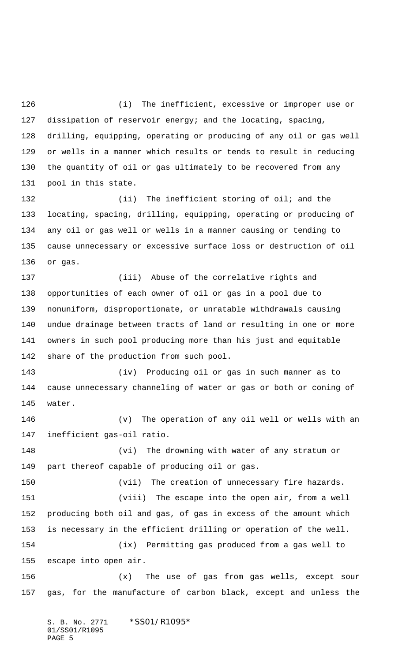(i) The inefficient, excessive or improper use or dissipation of reservoir energy; and the locating, spacing, drilling, equipping, operating or producing of any oil or gas well or wells in a manner which results or tends to result in reducing the quantity of oil or gas ultimately to be recovered from any pool in this state.

132 (ii) The inefficient storing of oil; and the locating, spacing, drilling, equipping, operating or producing of any oil or gas well or wells in a manner causing or tending to cause unnecessary or excessive surface loss or destruction of oil or gas.

 (iii) Abuse of the correlative rights and opportunities of each owner of oil or gas in a pool due to nonuniform, disproportionate, or unratable withdrawals causing undue drainage between tracts of land or resulting in one or more owners in such pool producing more than his just and equitable share of the production from such pool.

 (iv) Producing oil or gas in such manner as to cause unnecessary channeling of water or gas or both or coning of water.

 (v) The operation of any oil well or wells with an inefficient gas-oil ratio.

 (vi) The drowning with water of any stratum or part thereof capable of producing oil or gas.

(vii) The creation of unnecessary fire hazards.

 (viii) The escape into the open air, from a well producing both oil and gas, of gas in excess of the amount which is necessary in the efficient drilling or operation of the well. (ix) Permitting gas produced from a gas well to

escape into open air.

 (x) The use of gas from gas wells, except sour gas, for the manufacture of carbon black, except and unless the

S. B. No. 2771 \* SS01/R1095\* 01/SS01/R1095 PAGE 5